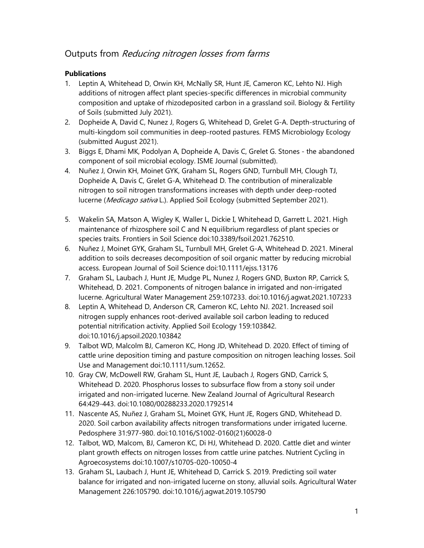# Outputs from Reducing nitrogen losses from farms

### **Publications**

- 1. Leptin A, Whitehead D, Orwin KH, McNally SR, Hunt JE, Cameron KC, Lehto NJ. High additions of nitrogen affect plant species-specific differences in microbial community composition and uptake of rhizodeposited carbon in a grassland soil. Biology & Fertility of Soils (submitted July 2021).
- 2. Dopheide A, David C, Nunez J, Rogers G, Whitehead D, Grelet G-A. Depth-structuring of multi-kingdom soil communities in deep-rooted pastures. FEMS Microbiology Ecology (submitted August 2021).
- 3. Biggs E, Dhami MK, Podolyan A, Dopheide A, Davis C, Grelet G. Stones the abandoned component of soil microbial ecology. ISME Journal (submitted).
- 4. Nuñez J, Orwin KH, Moinet GYK, Graham SL, Rogers GND, Turnbull MH, Clough TJ, Dopheide A, Davis C, Grelet G-A, Whitehead D. The contribution of mineralizable nitrogen to soil nitrogen transformations increases with depth under deep-rooted lucerne (Medicago sativa L.). Applied Soil Ecology (submitted September 2021).
- 5. Wakelin SA, Matson A, Wigley K, Waller L, Dickie I, Whitehead D, Garrett L. 2021. High maintenance of rhizosphere soil C and N equilibrium regardless of plant species or species traits. Frontiers in Soil Science doi:10.3389/fsoil.2021.762510.
- 6. Nuñez J, Moinet GYK, Graham SL, Turnbull MH, Grelet G-A, Whitehead D. 2021. Mineral addition to soils decreases decomposition of soil organic matter by reducing microbial access. European Journal of Soil Science doi:10.1111/ejss.13176
- 7. Graham SL, Laubach J, Hunt JE, Mudge PL, Nunez J, Rogers GND, Buxton RP, Carrick S, Whitehead, D. 2021. Components of nitrogen balance in irrigated and non-irrigated lucerne. Agricultural Water Management 259:107233. doi:10.1016/j.agwat.2021.107233
- 8. Leptin A, Whitehead D, Anderson CR, Cameron KC, Lehto NJ. 2021. Increased soil nitrogen supply enhances root-derived available soil carbon leading to reduced potential nitrification activity. Applied Soil Ecology 159:103842. doi:10.1016/j.apsoil.2020.103842
- 9. Talbot WD, Malcolm BJ, Cameron KC, Hong JD, Whitehead D. 2020. Effect of timing of cattle urine deposition timing and pasture composition on nitrogen leaching losses. Soil Use and Management doi:10.1111/sum.12652.
- 10. Gray CW, McDowell RW, Graham SL, Hunt JE, Laubach J, Rogers GND, Carrick S, Whitehead D. 2020. Phosphorus losses to subsurface flow from a stony soil under irrigated and non-irrigated lucerne. New Zealand Journal of Agricultural Research 64:429-443. doi:10.1080/00288233.2020.1792514
- 11. Nascente AS, Nuñez J, Graham SL, Moinet GYK, Hunt JE, Rogers GND, Whitehead D. 2020. Soil carbon availability affects nitrogen transformations under irrigated lucerne. Pedosphere 31:977-980. doi:10.1016/S1002-0160(21)60028-0
- 12. Talbot, WD, Malcom, BJ, Cameron KC, Di HJ, Whitehead D. 2020. Cattle diet and winter plant growth effects on nitrogen losses from cattle urine patches. Nutrient Cycling in Agroecosystems doi:10.1007/s10705-020-10050-4
- 13. Graham SL, Laubach J, Hunt JE, Whitehead D, Carrick S. 2019. Predicting soil water balance for irrigated and non-irrigated lucerne on stony, alluvial soils. Agricultural Water Management 226:105790. doi:10.1016/j.agwat.2019.105790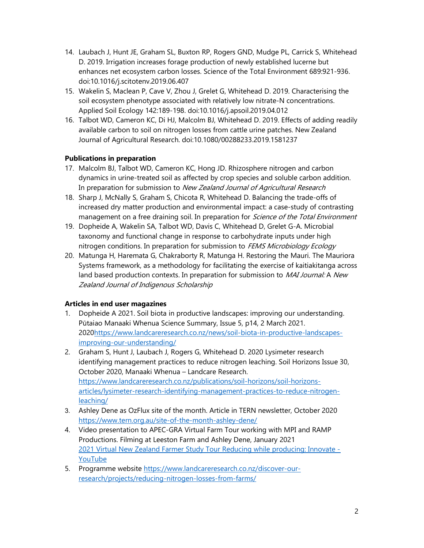- 14. Laubach J, Hunt JE, Graham SL, Buxton RP, Rogers GND, Mudge PL, Carrick S, Whitehead D. 2019. Irrigation increases forage production of newly established lucerne but enhances net ecosystem carbon losses. Science of the Total Environment 689:921-936. doi:10.1016/j.scitotenv.2019.06.407
- 15. Wakelin S, Maclean P, Cave V, Zhou J, Grelet G, Whitehead D. 2019. Characterising the soil ecosystem phenotype associated with relatively low nitrate-N concentrations. Applied Soil Ecology 142:189-198. doi:10.1016/j.apsoil.2019.04.012
- 16. Talbot WD, Cameron KC, Di HJ, Malcolm BJ, Whitehead D. 2019. Effects of adding readily available carbon to soil on nitrogen losses from cattle urine patches. New Zealand Journal of Agricultural Research. doi:10.1080/00288233.2019.1581237

#### Publications in preparation

- 17. Malcolm BJ, Talbot WD, Cameron KC, Hong JD. Rhizosphere nitrogen and carbon dynamics in urine-treated soil as affected by crop species and soluble carbon addition. In preparation for submission to New Zealand Journal of Agricultural Research
- 18. Sharp J, McNally S, Graham S, Chicota R, Whitehead D. Balancing the trade-offs of increased dry matter production and environmental impact: a case-study of contrasting management on a free draining soil. In preparation for *Science of the Total Environment*
- 19. Dopheide A, Wakelin SA, Talbot WD, Davis C, Whitehead D, Grelet G-A. Microbial taxonomy and functional change in response to carbohydrate inputs under high nitrogen conditions. In preparation for submission to FEMS Microbiology Ecology
- 20. Matunga H, Haremata G, Chakraborty R, Matunga H. Restoring the Mauri. The Mauriora Systems framework, as a methodology for facilitating the exercise of kaitiakitanga across land based production contexts. In preparation for submission to MAI Journal: A New Zealand Journal of Indigenous Scholarship

#### Articles in end user magazines

- 1. Dopheide A 2021. Soil biota in productive landscapes: improving our understanding. Pūtaiao Manaaki Whenua Science Summary, Issue 5, p14, 2 March 2021. 2020https://www.landcareresearch.co.nz/news/soil-biota-in-productive-landscapesimproving-our-understanding/
- 2. Graham S, Hunt J, Laubach J, Rogers G, Whitehead D. 2020 Lysimeter research identifying management practices to reduce nitrogen leaching. Soil Horizons Issue 30, October 2020, Manaaki Whenua – Landcare Research. https://www.landcareresearch.co.nz/publications/soil-horizons/soil-horizonsarticles/lysimeter-research-identifying-management-practices-to-reduce-nitrogenleaching/
- 3. Ashley Dene as OzFlux site of the month. Article in TERN newsletter, October 2020 https://www.tern.org.au/site-of-the-month-ashley-dene/
- 4. Video presentation to APEC-GRA Virtual Farm Tour working with MPI and RAMP Productions. Filming at Leeston Farm and Ashley Dene, January 2021 2021 Virtual New Zealand Farmer Study Tour Reducing while producing: Innovate - YouTube
- 5. Programme website https://www.landcareresearch.co.nz/discover-ourresearch/projects/reducing-nitrogen-losses-from-farms/